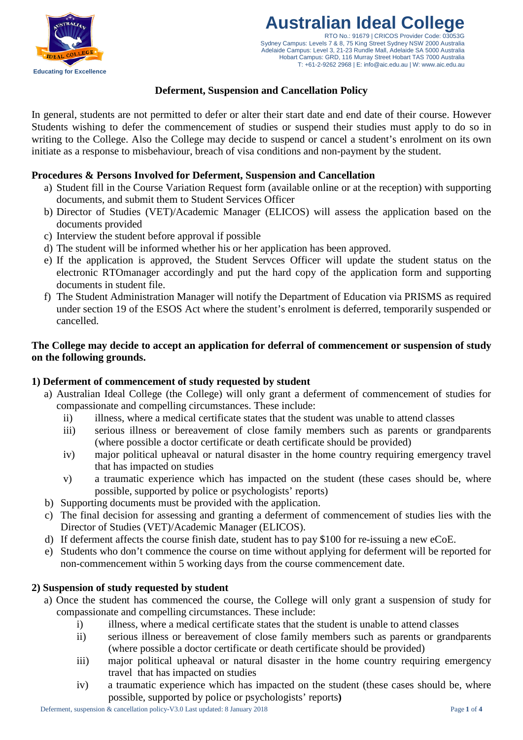

#### **Australian Ideal College** RTO No.: 91679 | CRICOS Provider Code: 03053G Sydney Campus: Levels 7 & 8, 75 King Street Sydney NSW 2000 Australia Adelaide Campus: Level 3, 21-23 Rundle Mall, Adelaide SA 5000 Australia Hobart Campus: GRD, 116 Murray Street Hobart TAS 7000 Australia T: +61-2-9262 2968 | E: info@aic.edu.au | W: www.aic.edu.au

# **Deferment, Suspension and Cancellation Policy**

In general, students are not permitted to defer or alter their start date and end date of their course. However Students wishing to defer the commencement of studies or suspend their studies must apply to do so in writing to the College. Also the College may decide to suspend or cancel a student's enrolment on its own initiate as a response to misbehaviour, breach of visa conditions and non-payment by the student.

### **Procedures & Persons Involved for Deferment, Suspension and Cancellation**

- a) Student fill in the Course Variation Request form (available online or at the reception) with supporting documents, and submit them to Student Services Officer
- b) Director of Studies (VET)/Academic Manager (ELICOS) will assess the application based on the documents provided
- c) Interview the student before approval if possible
- d) The student will be informed whether his or her application has been approved.
- e) If the application is approved, the Student Servces Officer will update the student status on the electronic RTOmanager accordingly and put the hard copy of the application form and supporting documents in student file.
- f) The Student Administration Manager will notify the Department of Education via PRISMS as required under section 19 of the ESOS Act where the student's enrolment is deferred, temporarily suspended or cancelled.

## **The College may decide to accept an application for deferral of commencement or suspension of study on the following grounds.**

## **1) Deferment of commencement of study requested by student**

- a) Australian Ideal College (the College) will only grant a deferment of commencement of studies for compassionate and compelling circumstances. These include:
	- ii) illness, where a medical certificate states that the student was unable to attend classes
	- iii) serious illness or bereavement of close family members such as parents or grandparents (where possible a doctor certificate or death certificate should be provided)
	- iv) major political upheaval or natural disaster in the home country requiring emergency travel that has impacted on studies
	- v) a traumatic experience which has impacted on the student (these cases should be, where possible, supported by police or psychologists' reports)
- b) Supporting documents must be provided with the application.
- c) The final decision for assessing and granting a deferment of commencement of studies lies with the Director of Studies (VET)/Academic Manager (ELICOS).
- d) If deferment affects the course finish date, student has to pay \$100 for re-issuing a new eCoE.
- e) Students who don't commence the course on time without applying for deferment will be reported for non-commencement within 5 working days from the course commencement date.

## **2) Suspension of study requested by student**

- a) Once the student has commenced the course, the College will only grant a suspension of study for compassionate and compelling circumstances. These include:
	- i) illness, where a medical certificate states that the student is unable to attend classes
	- ii) serious illness or bereavement of close family members such as parents or grandparents (where possible a doctor certificate or death certificate should be provided)
	- iii) major political upheaval or natural disaster in the home country requiring emergency travel that has impacted on studies
	- iv) a traumatic experience which has impacted on the student (these cases should be, where possible, supported by police or psychologists' reports**)**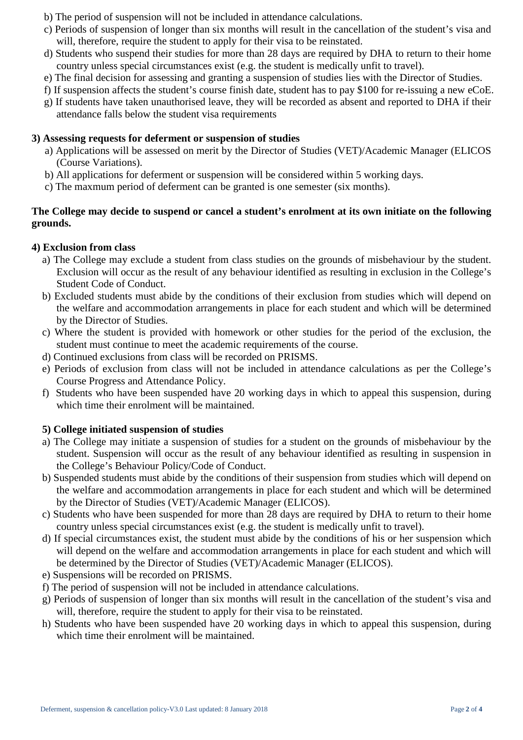- b) The period of suspension will not be included in attendance calculations.
- c) Periods of suspension of longer than six months will result in the cancellation of the student's visa and will, therefore, require the student to apply for their visa to be reinstated.
- d) Students who suspend their studies for more than 28 days are required by DHA to return to their home country unless special circumstances exist (e.g. the student is medically unfit to travel).
- e) The final decision for assessing and granting a suspension of studies lies with the Director of Studies.
- f) If suspension affects the student's course finish date, student has to pay \$100 for re-issuing a new eCoE.
- g) If students have taken unauthorised leave, they will be recorded as absent and reported to DHA if their attendance falls below the student visa requirements

### **3) Assessing requests for deferment or suspension of studies**

- a) Applications will be assessed on merit by the Director of Studies (VET)/Academic Manager (ELICOS (Course Variations).
- b) All applications for deferment or suspension will be considered within 5 working days.
- c) The maxmum period of deferment can be granted is one semester (six months).

## **The College may decide to suspend or cancel a student's enrolment at its own initiate on the following grounds.**

### **4) Exclusion from class**

- a) The College may exclude a student from class studies on the grounds of misbehaviour by the student. Exclusion will occur as the result of any behaviour identified as resulting in exclusion in the College's Student Code of Conduct.
- b) Excluded students must abide by the conditions of their exclusion from studies which will depend on the welfare and accommodation arrangements in place for each student and which will be determined by the Director of Studies.
- c) Where the student is provided with homework or other studies for the period of the exclusion, the student must continue to meet the academic requirements of the course.
- d) Continued exclusions from class will be recorded on PRISMS.
- e) Periods of exclusion from class will not be included in attendance calculations as per the College's Course Progress and Attendance Policy.
- f) Students who have been suspended have 20 working days in which to appeal this suspension, during which time their enrolment will be maintained.

## **5) College initiated suspension of studies**

- a) The College may initiate a suspension of studies for a student on the grounds of misbehaviour by the student. Suspension will occur as the result of any behaviour identified as resulting in suspension in the College's Behaviour Policy/Code of Conduct.
- b) Suspended students must abide by the conditions of their suspension from studies which will depend on the welfare and accommodation arrangements in place for each student and which will be determined by the Director of Studies (VET)/Academic Manager (ELICOS).
- c) Students who have been suspended for more than 28 days are required by DHA to return to their home country unless special circumstances exist (e.g. the student is medically unfit to travel).
- d) If special circumstances exist, the student must abide by the conditions of his or her suspension which will depend on the welfare and accommodation arrangements in place for each student and which will be determined by the Director of Studies (VET)/Academic Manager (ELICOS).
- e) Suspensions will be recorded on PRISMS.
- f) The period of suspension will not be included in attendance calculations.
- g) Periods of suspension of longer than six months will result in the cancellation of the student's visa and will, therefore, require the student to apply for their visa to be reinstated.
- h) Students who have been suspended have 20 working days in which to appeal this suspension, during which time their enrolment will be maintained.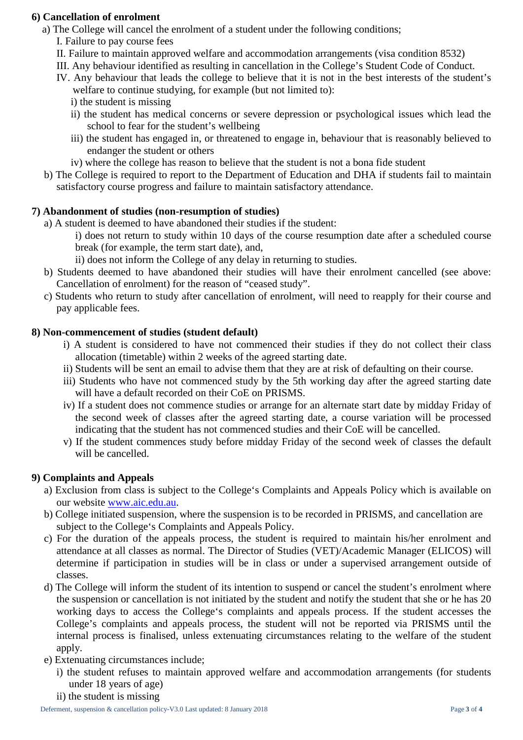### **6) Cancellation of enrolment**

a) The College will cancel the enrolment of a student under the following conditions;

I. Failure to pay course fees

- II. Failure to maintain approved welfare and accommodation arrangements (visa condition 8532)
- III. Any behaviour identified as resulting in cancellation in the College's Student Code of Conduct.
- IV. Any behaviour that leads the college to believe that it is not in the best interests of the student's welfare to continue studying, for example (but not limited to):
	- i) the student is missing
	- ii) the student has medical concerns or severe depression or psychological issues which lead the school to fear for the student's wellbeing
	- iii) the student has engaged in, or threatened to engage in, behaviour that is reasonably believed to endanger the student or others
	- iv) where the college has reason to believe that the student is not a bona fide student
- b) The College is required to report to the Department of Education and DHA if students fail to maintain satisfactory course progress and failure to maintain satisfactory attendance.

### **7) Abandonment of studies (non-resumption of studies)**

- a) A student is deemed to have abandoned their studies if the student:
	- i) does not return to study within 10 days of the course resumption date after a scheduled course break (for example, the term start date), and,
	- ii) does not inform the College of any delay in returning to studies.
- b) Students deemed to have abandoned their studies will have their enrolment cancelled (see above: Cancellation of enrolment) for the reason of "ceased study".
- c) Students who return to study after cancellation of enrolment, will need to reapply for their course and pay applicable fees.

### **8) Non-commencement of studies (student default)**

- i) A student is considered to have not commenced their studies if they do not collect their class allocation (timetable) within 2 weeks of the agreed starting date.
- ii) Students will be sent an email to advise them that they are at risk of defaulting on their course.
- iii) Students who have not commenced study by the 5th working day after the agreed starting date will have a default recorded on their CoE on PRISMS.
- iv) If a student does not commence studies or arrange for an alternate start date by midday Friday of the second week of classes after the agreed starting date, a course variation will be processed indicating that the student has not commenced studies and their CoE will be cancelled.
- v) If the student commences study before midday Friday of the second week of classes the default will be cancelled.

## **9) Complaints and Appeals**

- a) Exclusion from class is subject to the College's Complaints and Appeals Policy which is available on our website [www.aic.edu.au.](http://www.aic.edu.au/)
- b) College initiated suspension, where the suspension is to be recorded in PRISMS, and cancellation are subject to the College's Complaints and Appeals Policy.
- c) For the duration of the appeals process, the student is required to maintain his/her enrolment and attendance at all classes as normal. The Director of Studies (VET)/Academic Manager (ELICOS) will determine if participation in studies will be in class or under a supervised arrangement outside of classes.
- d) The College will inform the student of its intention to suspend or cancel the student's enrolment where the suspension or cancellation is not initiated by the student and notify the student that she or he has 20 working days to access the College's complaints and appeals process. If the student accesses the College's complaints and appeals process, the student will not be reported via PRISMS until the internal process is finalised, unless extenuating circumstances relating to the welfare of the student apply.
- e) Extenuating circumstances include;
	- i) the student refuses to maintain approved welfare and accommodation arrangements (for students under 18 years of age)
	- ii) the student is missing